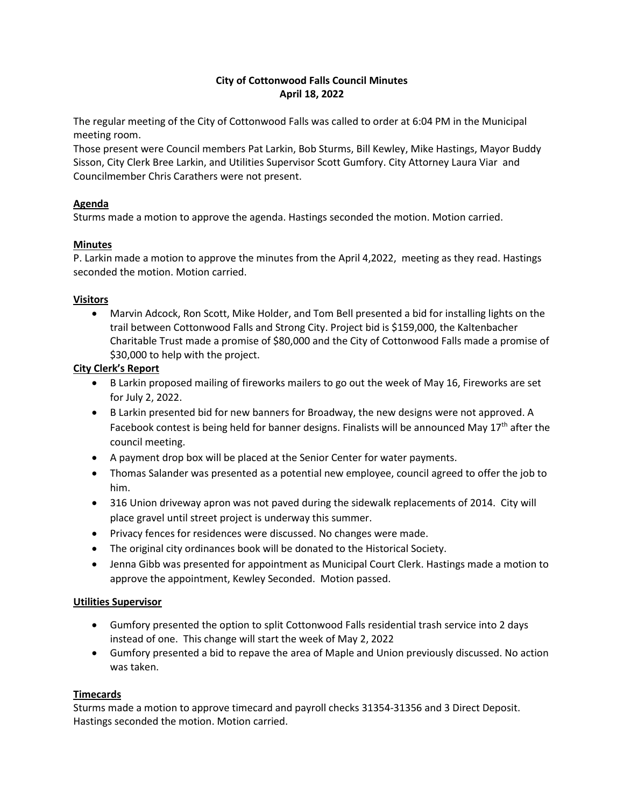# **City of Cottonwood Falls Council Minutes April 18, 2022**

The regular meeting of the City of Cottonwood Falls was called to order at 6:04 PM in the Municipal meeting room.

Those present were Council members Pat Larkin, Bob Sturms, Bill Kewley, Mike Hastings, Mayor Buddy Sisson, City Clerk Bree Larkin, and Utilities Supervisor Scott Gumfory. City Attorney Laura Viar and Councilmember Chris Carathers were not present.

## **Agenda**

Sturms made a motion to approve the agenda. Hastings seconded the motion. Motion carried.

## **Minutes**

P. Larkin made a motion to approve the minutes from the April 4,2022, meeting as they read. Hastings seconded the motion. Motion carried.

## **Visitors**

• Marvin Adcock, Ron Scott, Mike Holder, and Tom Bell presented a bid for installing lights on the trail between Cottonwood Falls and Strong City. Project bid is \$159,000, the Kaltenbacher Charitable Trust made a promise of \$80,000 and the City of Cottonwood Falls made a promise of \$30,000 to help with the project.

# **City Clerk's Report**

- B Larkin proposed mailing of fireworks mailers to go out the week of May 16, Fireworks are set for July 2, 2022.
- B Larkin presented bid for new banners for Broadway, the new designs were not approved. A Facebook contest is being held for banner designs. Finalists will be announced May  $17<sup>th</sup>$  after the council meeting.
- A payment drop box will be placed at the Senior Center for water payments.
- Thomas Salander was presented as a potential new employee, council agreed to offer the job to him.
- 316 Union driveway apron was not paved during the sidewalk replacements of 2014. City will place gravel until street project is underway this summer.
- Privacy fences for residences were discussed. No changes were made.
- The original city ordinances book will be donated to the Historical Society.
- Jenna Gibb was presented for appointment as Municipal Court Clerk. Hastings made a motion to approve the appointment, Kewley Seconded. Motion passed.

### **Utilities Supervisor**

- Gumfory presented the option to split Cottonwood Falls residential trash service into 2 days instead of one. This change will start the week of May 2, 2022
- Gumfory presented a bid to repave the area of Maple and Union previously discussed. No action was taken.

### **Timecards**

Sturms made a motion to approve timecard and payroll checks 31354-31356 and 3 Direct Deposit. Hastings seconded the motion. Motion carried.